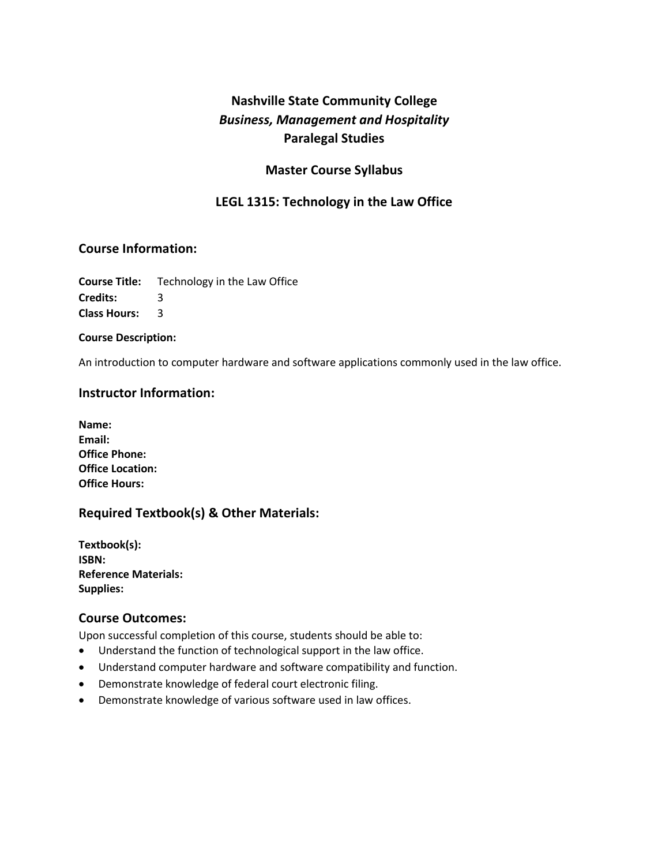# **Nashville State Community College**  *Business, Management and Hospitality* **Paralegal Studies**

### **Master Course Syllabus**

# **LEGL 1315: Technology in the Law Office**

### **Course Information:**

**Course Title:** Technology in the Law Office **Credits:** 3

**Class Hours:** 3

**Course Description:**

An introduction to computer hardware and software applications commonly used in the law office.

### **Instructor Information:**

| Name:                   |
|-------------------------|
| Email:                  |
| <b>Office Phone:</b>    |
| <b>Office Location:</b> |
| <b>Office Hours:</b>    |

# **Required Textbook(s) & Other Materials:**

**Textbook(s): ISBN: Reference Materials: Supplies:** 

### **Course Outcomes:**

Upon successful completion of this course, students should be able to:

- Understand the function of technological support in the law office.
- Understand computer hardware and software compatibility and function.
- Demonstrate knowledge of federal court electronic filing.
- Demonstrate knowledge of various software used in law offices.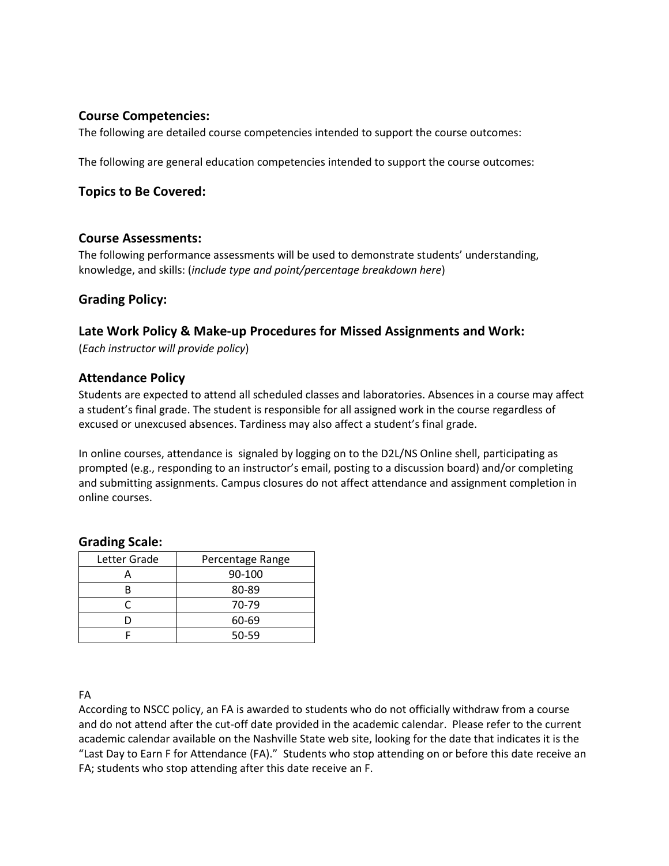### **Course Competencies:**

The following are detailed course competencies intended to support the course outcomes:

The following are general education competencies intended to support the course outcomes:

### **Topics to Be Covered:**

#### **Course Assessments:**

The following performance assessments will be used to demonstrate students' understanding, knowledge, and skills: (*include type and point/percentage breakdown here*)

### **Grading Policy:**

### **Late Work Policy & Make-up Procedures for Missed Assignments and Work:**

(*Each instructor will provide policy*)

#### **Attendance Policy**

Students are expected to attend all scheduled classes and laboratories. Absences in a course may affect a student's final grade. The student is responsible for all assigned work in the course regardless of excused or unexcused absences. Tardiness may also affect a student's final grade.

In online courses, attendance is signaled by logging on to the D2L/NS Online shell, participating as prompted (e.g., responding to an instructor's email, posting to a discussion board) and/or completing and submitting assignments. Campus closures do not affect attendance and assignment completion in online courses.

#### **Grading Scale:**

| Letter Grade | Percentage Range |
|--------------|------------------|
|              | 90-100           |
|              | 80-89            |
|              | 70-79            |
|              | 60-69            |
|              | 50-59            |

#### FA

According to NSCC policy, an FA is awarded to students who do not officially withdraw from a course and do not attend after the cut-off date provided in the academic calendar. Please refer to the current academic calendar available on the Nashville State web site, looking for the date that indicates it is the "Last Day to Earn F for Attendance (FA)." Students who stop attending on or before this date receive an FA; students who stop attending after this date receive an F.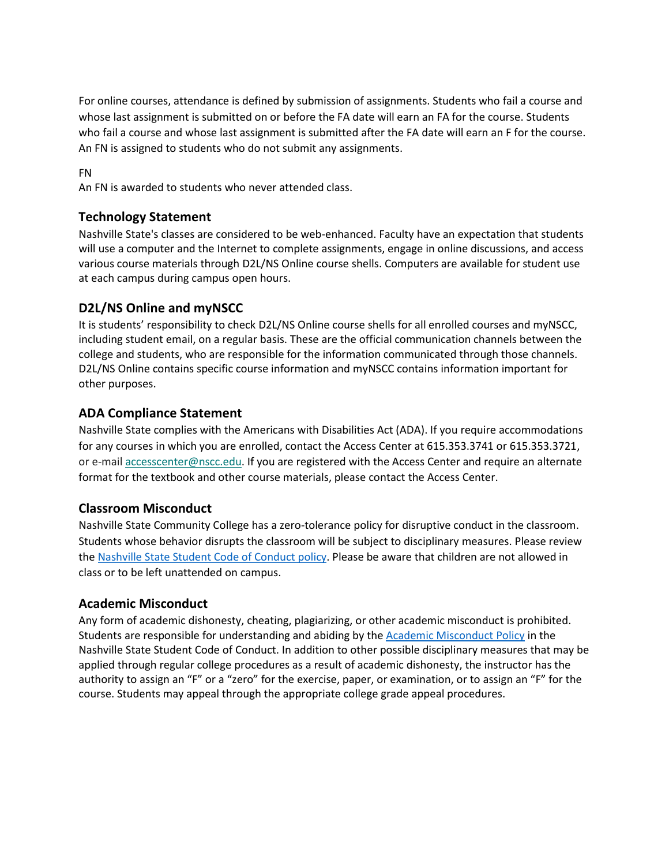For online courses, attendance is defined by submission of assignments. Students who fail a course and whose last assignment is submitted on or before the FA date will earn an FA for the course. Students who fail a course and whose last assignment is submitted after the FA date will earn an F for the course. An FN is assigned to students who do not submit any assignments.

### FN

An FN is awarded to students who never attended class.

### **Technology Statement**

Nashville State's classes are considered to be web-enhanced. Faculty have an expectation that students will use a computer and the Internet to complete assignments, engage in online discussions, and access various course materials through D2L/NS Online course shells. Computers are available for student use at each campus during campus open hours.

### **D2L/NS Online and myNSCC**

It is students' responsibility to check D2L/NS Online course shells for all enrolled courses and myNSCC, including student email, on a regular basis. These are the official communication channels between the college and students, who are responsible for the information communicated through those channels. D2L/NS Online contains specific course information and myNSCC contains information important for other purposes.

### **ADA Compliance Statement**

Nashville State complies with the Americans with Disabilities Act (ADA). If you require accommodations for any courses in which you are enrolled, contact the Access Center at 615.353.3741 or 615.353.3721, or e-mail [accesscenter@nscc.edu.](mailto:%3Caccesscenter@nscc.edu%3E) If you are registered with the Access Center and require an alternate format for the textbook and other course materials, please contact the Access Center.

### **Classroom Misconduct**

Nashville State Community College has a zero-tolerance policy for disruptive conduct in the classroom. Students whose behavior disrupts the classroom will be subject to disciplinary measures. Please review th[e Nashville State Student Code of Conduct policy.](https://s3.amazonaws.com/nscc.edu/PDFs/dean-students/Student_Code_of_Conduct_Policy.pdf) Please be aware that children are not allowed in class or to be left unattended on campus.

# **Academic Misconduct**

Any form of academic dishonesty, cheating, plagiarizing, or other academic misconduct is prohibited. Students are responsible for understanding and abiding by th[e Academic Misconduct Policy](https://s3.amazonaws.com/nscc.edu/PDFs/dean-students/Student_Code_of_Conduct_Policy.pdf) in the Nashville State Student Code of Conduct. In addition to other possible disciplinary measures that may be applied through regular college procedures as a result of academic dishonesty, the instructor has the authority to assign an "F" or a "zero" for the exercise, paper, or examination, or to assign an "F" for the course. Students may appeal through the appropriate college grade appeal procedures.